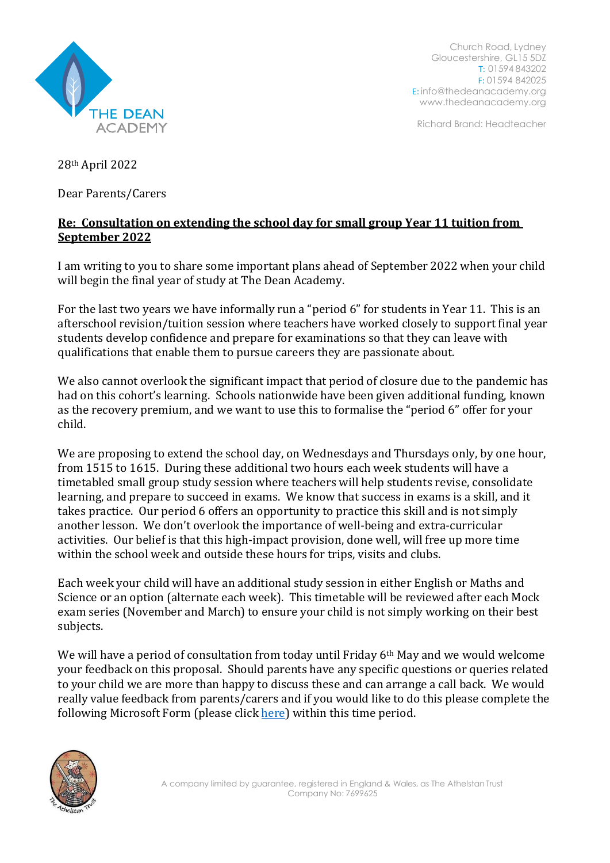

Church Road, Lydney Gloucestershire, GL15 5DZ T: 01594 843202 F: 01594 842025 E: [info@thedeanacademy.org](mailto:info@thedeanacademy.org) [www.thedeanacademy.org](http://www.thedeanacademy.org/)

Richard Brand: Headteacher

28th April 2022

Dear Parents/Carers

## **Re: Consultation on extending the school day for small group Year 11 tuition from September 2022**

I am writing to you to share some important plans ahead of September 2022 when your child will begin the final year of study at The Dean Academy.

For the last two years we have informally run a "period 6" for students in Year 11. This is an afterschool revision/tuition session where teachers have worked closely to support final year students develop confidence and prepare for examinations so that they can leave with qualifications that enable them to pursue careers they are passionate about.

We also cannot overlook the significant impact that period of closure due to the pandemic has had on this cohort's learning. Schools nationwide have been given additional funding, known as the recovery premium, and we want to use this to formalise the "period 6" offer for your child.

We are proposing to extend the school day, on Wednesdays and Thursdays only, by one hour, from 1515 to 1615. During these additional two hours each week students will have a timetabled small group study session where teachers will help students revise, consolidate learning, and prepare to succeed in exams. We know that success in exams is a skill, and it takes practice. Our period 6 offers an opportunity to practice this skill and is not simply another lesson. We don't overlook the importance of well-being and extra-curricular activities. Our belief is that this high-impact provision, done well, will free up more time within the school week and outside these hours for trips, visits and clubs.

Each week your child will have an additional study session in either English or Maths and Science or an option (alternate each week). This timetable will be reviewed after each Mock exam series (November and March) to ensure your child is not simply working on their best subjects.

We will have a period of consultation from today until Friday 6<sup>th</sup> May and we would welcome your feedback on this proposal. Should parents have any specific questions or queries related to your child we are more than happy to discuss these and can arrange a call back. We would really value feedback from parents/carers and if you would like to do this please complete the following Microsoft Form (please click [here\)](https://forms.office.com/Pages/ResponsePage.aspx?id=bwmcfx5OQkyVKi6ApblT_Q5Rctbf-D9NmRWwSfV3aPhUNzlTQjZQV0VUNDRNOUFONDBJTUxYSTZSSy4u) within this time period.